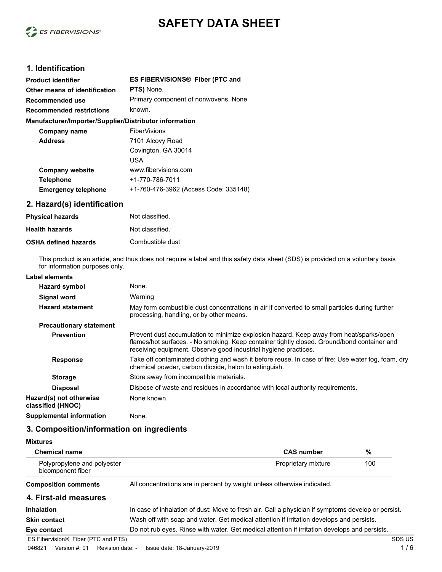

# **SAFETY DATA SHEET**

# **1. Identification**

| <b>Product identifier</b>                              | ES FIBERVISIONS <sup>®</sup> Fiber (PTC and |
|--------------------------------------------------------|---------------------------------------------|
| Other means of identification                          | PTS) None.                                  |
| Recommended use                                        | Primary component of nonwovens. None        |
| Recommended restrictions                               | known.                                      |
| Manufacturer/Importer/Supplier/Distributor information |                                             |
| Company name                                           | <b>FiberVisions</b>                         |
| <b>Address</b>                                         | 7101 Alcovy Road                            |
|                                                        | Covington, GA 30014                         |
|                                                        | <b>USA</b>                                  |
| <b>Company website</b>                                 | www.fibervisions.com                        |
| <b>Telephone</b>                                       | +1-770-786-7011                             |
| <b>Emergency telephone</b>                             | +1-760-476-3962 (Access Code: 335148)       |

# **2. Hazard(s) identification**

| <b>Physical hazards</b>     | Not classified.  |
|-----------------------------|------------------|
| <b>Health hazards</b>       | Not classified.  |
| <b>OSHA defined hazards</b> | Combustible dust |

This product is an article, and thus does not require a label and this safety data sheet (SDS) is provided on a voluntary basis for information purposes only.

| Hazard symbol                                | None.                                                                                                                                                                                                                                                     |
|----------------------------------------------|-----------------------------------------------------------------------------------------------------------------------------------------------------------------------------------------------------------------------------------------------------------|
| <b>Signal word</b>                           | Warning                                                                                                                                                                                                                                                   |
| <b>Hazard statement</b>                      | May form combustible dust concentrations in air if converted to small particles during further<br>processing, handling, or by other means.                                                                                                                |
| <b>Precautionary statement</b>               |                                                                                                                                                                                                                                                           |
| <b>Prevention</b>                            | Prevent dust accumulation to minimize explosion hazard. Keep away from heat/sparks/open<br>flames/hot surfaces. - No smoking. Keep container tightly closed. Ground/bond container and<br>receiving equipment. Observe good industrial hygiene practices. |
| <b>Response</b>                              | Take off contaminated clothing and wash it before reuse. In case of fire: Use water fog, foam, dry<br>chemical powder, carbon dioxide, halon to extinguish.                                                                                               |
| <b>Storage</b>                               | Store away from incompatible materials.                                                                                                                                                                                                                   |
| <b>Disposal</b>                              | Dispose of waste and residues in accordance with local authority requirements.                                                                                                                                                                            |
| Hazard(s) not otherwise<br>classified (HNOC) | None known.                                                                                                                                                                                                                                               |
| <b>Supplemental information</b>              | None.                                                                                                                                                                                                                                                     |

### **3. Composition/information on ingredients**

| <b>Mixtures</b>                                  |                                                                                                    |                     |     |        |
|--------------------------------------------------|----------------------------------------------------------------------------------------------------|---------------------|-----|--------|
| <b>Chemical name</b>                             |                                                                                                    | <b>CAS number</b>   | %   |        |
| Polypropylene and polyester<br>bicomponent fiber |                                                                                                    | Proprietary mixture | 100 |        |
| <b>Composition comments</b>                      | All concentrations are in percent by weight unless otherwise indicated.                            |                     |     |        |
| 4. First-aid measures                            |                                                                                                    |                     |     |        |
| <b>Inhalation</b>                                | In case of inhalation of dust: Move to fresh air. Call a physician if symptoms develop or persist. |                     |     |        |
| <b>Skin contact</b>                              | Wash off with soap and water. Get medical attention if irritation develops and persists.           |                     |     |        |
| Eye contact                                      | Do not rub eyes. Rinse with water. Get medical attention if irritation develops and persists.      |                     |     |        |
| ES Fibervision <sup>®</sup> Fiber (PTC and PTS)  |                                                                                                    |                     |     | SDS US |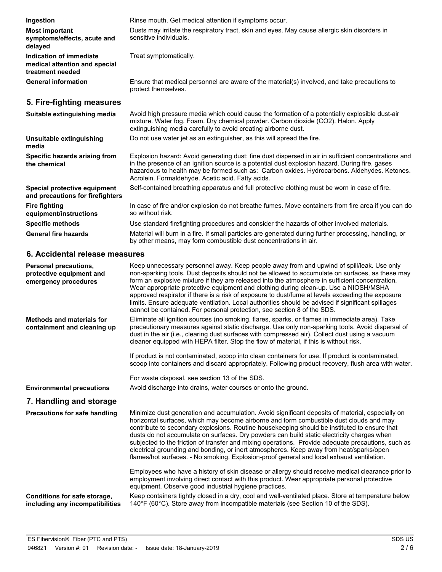| Ingestion                                                                    | Rinse mouth. Get medical attention if symptoms occur.                                                                                                                                                                                                                                                                                                                                                                                                                                                                                                                                                                                                                       |
|------------------------------------------------------------------------------|-----------------------------------------------------------------------------------------------------------------------------------------------------------------------------------------------------------------------------------------------------------------------------------------------------------------------------------------------------------------------------------------------------------------------------------------------------------------------------------------------------------------------------------------------------------------------------------------------------------------------------------------------------------------------------|
| <b>Most important</b><br>symptoms/effects, acute and<br>delayed              | Dusts may irritate the respiratory tract, skin and eyes. May cause allergic skin disorders in<br>sensitive individuals.                                                                                                                                                                                                                                                                                                                                                                                                                                                                                                                                                     |
| Indication of immediate<br>medical attention and special<br>treatment needed | Treat symptomatically.                                                                                                                                                                                                                                                                                                                                                                                                                                                                                                                                                                                                                                                      |
| <b>General information</b>                                                   | Ensure that medical personnel are aware of the material(s) involved, and take precautions to<br>protect themselves.                                                                                                                                                                                                                                                                                                                                                                                                                                                                                                                                                         |
| 5. Fire-fighting measures                                                    |                                                                                                                                                                                                                                                                                                                                                                                                                                                                                                                                                                                                                                                                             |
| Suitable extinguishing media                                                 | Avoid high pressure media which could cause the formation of a potentially explosible dust-air<br>mixture. Water fog. Foam. Dry chemical powder. Carbon dioxide (CO2). Halon. Apply<br>extinguishing media carefully to avoid creating airborne dust.                                                                                                                                                                                                                                                                                                                                                                                                                       |
| Unsuitable extinguishing<br>media                                            | Do not use water jet as an extinguisher, as this will spread the fire.                                                                                                                                                                                                                                                                                                                                                                                                                                                                                                                                                                                                      |
| Specific hazards arising from<br>the chemical                                | Explosion hazard: Avoid generating dust; fine dust dispersed in air in sufficient concentrations and<br>in the presence of an ignition source is a potential dust explosion hazard. During fire, gases<br>hazardous to health may be formed such as: Carbon oxides. Hydrocarbons. Aldehydes. Ketones.<br>Acrolein. Formaldehyde. Acetic acid. Fatty acids.                                                                                                                                                                                                                                                                                                                  |
| Special protective equipment<br>and precautions for firefighters             | Self-contained breathing apparatus and full protective clothing must be worn in case of fire.                                                                                                                                                                                                                                                                                                                                                                                                                                                                                                                                                                               |
| <b>Fire fighting</b><br>equipment/instructions                               | In case of fire and/or explosion do not breathe fumes. Move containers from fire area if you can do<br>so without risk.                                                                                                                                                                                                                                                                                                                                                                                                                                                                                                                                                     |
| <b>Specific methods</b>                                                      | Use standard firefighting procedures and consider the hazards of other involved materials.                                                                                                                                                                                                                                                                                                                                                                                                                                                                                                                                                                                  |
| <b>General fire hazards</b>                                                  | Material will burn in a fire. If small particles are generated during further processing, handling, or<br>by other means, may form combustible dust concentrations in air.                                                                                                                                                                                                                                                                                                                                                                                                                                                                                                  |
| 6. Accidental release measures                                               |                                                                                                                                                                                                                                                                                                                                                                                                                                                                                                                                                                                                                                                                             |
| Personal precautions,<br>protective equipment and<br>emergency procedures    | Keep unnecessary personnel away. Keep people away from and upwind of spill/leak. Use only<br>non-sparking tools. Dust deposits should not be allowed to accumulate on surfaces, as these may<br>form an explosive mixture if they are released into the atmosphere in sufficient concentration.<br>Wear appropriate protective equipment and clothing during clean-up. Use a NIOSH/MSHA<br>approved respirator if there is a risk of exposure to dust/fume at levels exceeding the exposure<br>limits. Ensure adequate ventilation. Local authorities should be advised if significant spillages<br>cannot be contained. For personal protection, see section 8 of the SDS. |
| Mathada and matariala far                                                    | Eliminate all ignition sources (no smoking flares, sparks, or flames in immediate area). Take                                                                                                                                                                                                                                                                                                                                                                                                                                                                                                                                                                               |

Eliminate all ignition sources (no smoking, flares, sparks, or flames in immediate area). Take precautionary measures against static discharge. Use only non-sparking tools. Avoid dispersal of dust in the air (i.e., clearing dust surfaces with compressed air). Collect dust using a vacuum cleaner equipped with HEPA filter. Stop the flow of material, if this is without risk. **Methods and materials for containment and cleaning up**

> If product is not contaminated, scoop into clean containers for use. If product is contaminated, scoop into containers and discard appropriately. Following product recovery, flush area with water.

For waste disposal, see section 13 of the SDS.

**Environmental precautions** Avoid discharge into drains, water courses or onto the ground.

# **7. Handling and storage**

| Precautions for safe handling                                   | Minimize dust generation and accumulation. Avoid significant deposits of material, especially on<br>horizontal surfaces, which may become airborne and form combustible dust clouds and may<br>contribute to secondary explosions. Routine house keeping should be instituted to ensure that<br>dusts do not accumulate on surfaces. Dry powders can build static electricity charges when<br>subjected to the friction of transfer and mixing operations. Provide adequate precautions, such as<br>electrical grounding and bonding, or inert atmospheres. Keep away from heat/sparks/open<br>flames/hot surfaces. - No smoking. Explosion-proof general and local exhaust ventilation. |
|-----------------------------------------------------------------|------------------------------------------------------------------------------------------------------------------------------------------------------------------------------------------------------------------------------------------------------------------------------------------------------------------------------------------------------------------------------------------------------------------------------------------------------------------------------------------------------------------------------------------------------------------------------------------------------------------------------------------------------------------------------------------|
|                                                                 | Employees who have a history of skin disease or allergy should receive medical clearance prior to<br>employment involving direct contact with this product. Wear appropriate personal protective<br>equipment. Observe good industrial hygiene practices.                                                                                                                                                                                                                                                                                                                                                                                                                                |
| Conditions for safe storage,<br>including any incompatibilities | Keep containers tightly closed in a dry, cool and well-ventilated place. Store at temperature below<br>140°F (60°C). Store away from incompatible materials (see Section 10 of the SDS).                                                                                                                                                                                                                                                                                                                                                                                                                                                                                                 |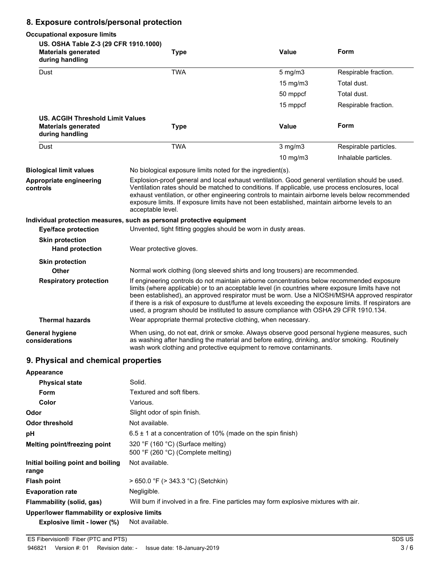# **8. Exposure controls/personal protection**

#### **Occupational exposure limits US. OSHA Table Z-3 (29 CFR 1910.1000) Materials generated Value Form during handling Type** Dust **TWA** TWA 5 mg/m3 Respirable fraction. 15 mg/m3 Total dust. 50 mppcf Total dust. 15 mppcf Respirable fraction. **US. ACGIH Threshold Limit Values Materials generated Value Form during handling Type** Dust **TWA** TWA 3 mg/m3 Respirable particles. 10 mg/m3 Inhalable particles. **Biological limit values** No biological exposure limits noted for the ingredient(s). Explosion-proof general and local exhaust ventilation. Good general ventilation should be used. Ventilation rates should be matched to conditions. If applicable, use process enclosures, local exhaust ventilation, or other engineering controls to maintain airborne levels below recommended exposure limits. If exposure limits have not been established, maintain airborne levels to an acceptable level. **Appropriate engineering controls Individual protection measures, such as personal protective equipment Eye/face protection** Unvented, tight fitting goggles should be worn in dusty areas. **Skin protection Hand protection** Wear protective gloves. **Skin protection Other** Normal work clothing (long sleeved shirts and long trousers) are recommended. If engineering controls do not maintain airborne concentrations below recommended exposure limits (where applicable) or to an acceptable level (in countries where exposure limits have not been established), an approved respirator must be worn. Use a NIOSH/MSHA approved respirator if there is a risk of exposure to dust/fume at levels exceeding the exposure limits. If respirators are used, a program should be instituted to assure compliance with OSHA 29 CFR 1910.134. **Respiratory protection Thermal hazards** Wear appropriate thermal protective clothing, when necessary. When using, do not eat, drink or smoke. Always observe good personal hygiene measures, such as washing after handling the material and before eating, drinking, and/or smoking. Routinely wash work clothing and protective equipment to remove contaminants. **General hygiene considerations**

## **9. Physical and chemical properties**

| Appearance                                   |                                                                                       |
|----------------------------------------------|---------------------------------------------------------------------------------------|
| <b>Physical state</b>                        | Solid.                                                                                |
| Form                                         | Textured and soft fibers.                                                             |
| Color                                        | Various.                                                                              |
| Odor                                         | Slight odor of spin finish.                                                           |
| <b>Odor threshold</b>                        | Not available.                                                                        |
| рH                                           | $6.5 \pm 1$ at a concentration of 10% (made on the spin finish)                       |
| Melting point/freezing point                 | 320 °F (160 °C) (Surface melting)<br>500 °F (260 °C) (Complete melting)               |
| Initial boiling point and boiling<br>range   | Not available.                                                                        |
| <b>Flash point</b>                           | $> 650.0$ °F ( $> 343.3$ °C) (Setchkin)                                               |
| <b>Evaporation rate</b>                      | Negligible.                                                                           |
| Flammability (solid, gas)                    | Will burn if involved in a fire. Fine particles may form explosive mixtures with air. |
| Upper/lower flammability or explosive limits |                                                                                       |

**Explosive limit - lower (%)** Not available.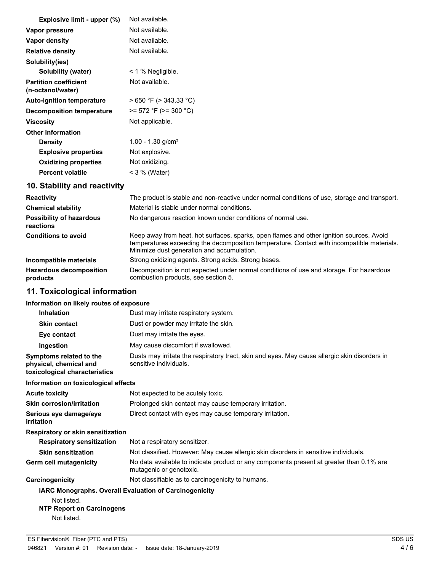| Explosive limit - upper (%)                       | Not available.                                                                               |
|---------------------------------------------------|----------------------------------------------------------------------------------------------|
| Vapor pressure                                    | Not available.                                                                               |
| Vapor density                                     | Not available.                                                                               |
| <b>Relative density</b>                           | Not available.                                                                               |
| Solubility(ies)                                   |                                                                                              |
| Solubility (water)                                | $<$ 1 % Negligible.                                                                          |
| <b>Partition coefficient</b><br>(n-octanol/water) | Not available.                                                                               |
| <b>Auto-ignition temperature</b>                  | $>650$ °F ( $>343.33$ °C)                                                                    |
| Decomposition temperature                         | $>= 572$ °F ( $>= 300$ °C)                                                                   |
| <b>Viscosity</b>                                  | Not applicable.                                                                              |
| <b>Other information</b>                          |                                                                                              |
| <b>Density</b>                                    | 1.00 - 1.30 $g/cm3$                                                                          |
| <b>Explosive properties</b>                       | Not explosive.                                                                               |
| <b>Oxidizing properties</b>                       | Not oxidizing.                                                                               |
| <b>Percent volatile</b>                           | $<$ 3 % (Water)                                                                              |
| 10. Stability and reactivity                      |                                                                                              |
| <b>Reactivity</b>                                 | The product is stable and non-reactive under normal conditions of use, storage and transport |

| <b>Reactivity</b>                            | The product is stable and non-reactive under normal conditions of use, storage and transport.                                                                                                                                        |
|----------------------------------------------|--------------------------------------------------------------------------------------------------------------------------------------------------------------------------------------------------------------------------------------|
| <b>Chemical stability</b>                    | Material is stable under normal conditions.                                                                                                                                                                                          |
| <b>Possibility of hazardous</b><br>reactions | No dangerous reaction known under conditions of normal use.                                                                                                                                                                          |
| <b>Conditions to avoid</b>                   | Keep away from heat, hot surfaces, sparks, open flames and other ignition sources. Avoid<br>temperatures exceeding the decomposition temperature. Contact with incompatible materials.<br>Minimize dust generation and accumulation. |
| Incompatible materials                       | Strong oxidizing agents. Strong acids. Strong bases.                                                                                                                                                                                 |
| <b>Hazardous decomposition</b><br>products   | Decomposition is not expected under normal conditions of use and storage. For hazardous<br>combustion products, see section 5.                                                                                                       |

# **11. Toxicological information**

## **Information on likely routes of exposure**

| <b>Inhalation</b>                                                                  | Dust may irritate respiratory system.                                                                                   |
|------------------------------------------------------------------------------------|-------------------------------------------------------------------------------------------------------------------------|
| <b>Skin contact</b>                                                                | Dust or powder may irritate the skin.                                                                                   |
| Eye contact                                                                        | Dust may irritate the eyes.                                                                                             |
| Ingestion                                                                          | May cause discomfort if swallowed.                                                                                      |
| Symptoms related to the<br>physical, chemical and<br>toxicological characteristics | Dusts may irritate the respiratory tract, skin and eyes. May cause allergic skin disorders in<br>sensitive individuals. |
| Information on toxicological effects                                               |                                                                                                                         |
| Acute toxicity                                                                     | Not expected to be acutely toxic.                                                                                       |
| Skin corrosion/irritation                                                          | Prolonged skin contact may cause temporary irritation.                                                                  |
| Serious eve damage/eve<br>irritation                                               | Direct contact with eyes may cause temporary irritation.                                                                |
| Respiratory or skin sensitization                                                  |                                                                                                                         |
| <b>Respiratory sensitization</b>                                                   | Not a respiratory sensitizer.                                                                                           |
| <b>Skin sensitization</b>                                                          | Not classified. However: May cause allergic skin disorders in sensitive individuals.                                    |
| Germ cell mutagenicity                                                             | No data available to indicate product or any components present at greater than 0.1% are<br>mutagenic or genotoxic.     |
| Carcinogenicity                                                                    | Not classifiable as to carcinogenicity to humans.                                                                       |
| <b>IARC Monographs. Overall Evaluation of Carcinogenicity</b><br>Not listed.       |                                                                                                                         |

# **NTP Report on Carcinogens**

Not listed.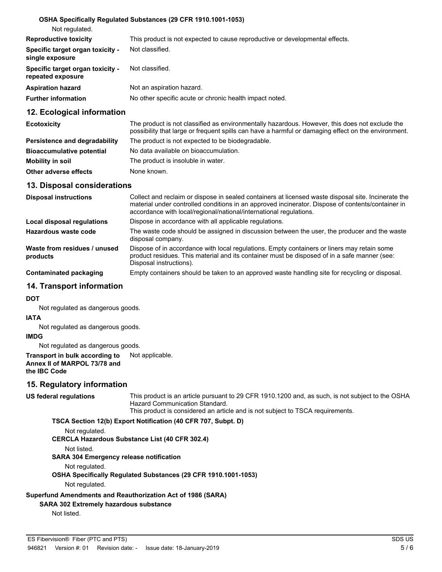#### **OSHA Specifically Regulated Substances (29 CFR 1910.1001-1053)**

| Not regulated.                                        |                                                                              |
|-------------------------------------------------------|------------------------------------------------------------------------------|
| <b>Reproductive toxicity</b>                          | This product is not expected to cause reproductive or developmental effects. |
| Specific target organ toxicity -<br>single exposure   | Not classified.                                                              |
| Specific target organ toxicity -<br>repeated exposure | Not classified.                                                              |
| <b>Aspiration hazard</b>                              | Not an aspiration hazard.                                                    |
| <b>Further information</b>                            | No other specific acute or chronic health impact noted.                      |
|                                                       |                                                                              |

#### **12. Ecological information**

| <b>Ecotoxicity</b>               | The product is not classified as environmentally hazardous. However, this does not exclude the<br>possibility that large or frequent spills can have a harmful or damaging effect on the environment. |
|----------------------------------|-------------------------------------------------------------------------------------------------------------------------------------------------------------------------------------------------------|
| Persistence and degradability    | The product is not expected to be biodegradable.                                                                                                                                                      |
| <b>Bioaccumulative potential</b> | No data available on bioaccumulation.                                                                                                                                                                 |
| Mobility in soil                 | The product is insoluble in water.                                                                                                                                                                    |
| Other adverse effects            | None known.                                                                                                                                                                                           |

#### **13. Disposal considerations**

| <b>Disposal instructions</b>             | Collect and reclaim or dispose in sealed containers at licensed waste disposal site. Incinerate the<br>material under controlled conditions in an approved incinerator. Dispose of contents/container in<br>accordance with local/regional/national/international regulations. |
|------------------------------------------|--------------------------------------------------------------------------------------------------------------------------------------------------------------------------------------------------------------------------------------------------------------------------------|
| Local disposal regulations               | Dispose in accordance with all applicable regulations.                                                                                                                                                                                                                         |
| Hazardous waste code                     | The waste code should be assigned in discussion between the user, the producer and the waste<br>disposal company.                                                                                                                                                              |
| Waste from residues / unused<br>products | Dispose of in accordance with local regulations. Empty containers or liners may retain some<br>product residues. This material and its container must be disposed of in a safe manner (see:<br>Disposal instructions).                                                         |
| Contaminated packaging                   | Empty containers should be taken to an approved waste handling site for recycling or disposal.                                                                                                                                                                                 |

#### **14. Transport information**

#### **DOT**

Not regulated as dangerous goods.

#### **IATA**

Not regulated as dangerous goods.

#### **IMDG**

Not regulated as dangerous goods.

#### **Transport in bulk according to** Not applicable. **Annex II of MARPOL 73/78 and the IBC Code**

#### **15. Regulatory information**

**US federal regulations**

This product is an article pursuant to 29 CFR 1910.1200 and, as such, is not subject to the OSHA Hazard Communication Standard.

This product is considered an article and is not subject to TSCA requirements.

**TSCA Section 12(b) Export Notification (40 CFR 707, Subpt. D)**

Not regulated.

#### **CERCLA Hazardous Substance List (40 CFR 302.4)**

Not listed.

**SARA 304 Emergency release notification**

Not regulated.

**OSHA Specifically Regulated Substances (29 CFR 1910.1001-1053)**

Not regulated.

**Superfund Amendments and Reauthorization Act of 1986 (SARA)**

#### **SARA 302 Extremely hazardous substance**

Not listed.